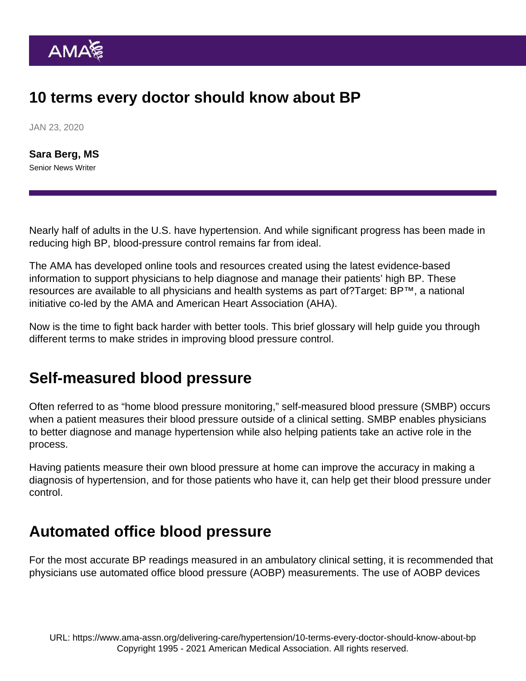# 10 terms every doctor should know about BP

JAN 23, 2020

[Sara Berg, MS](https://www.ama-assn.org/news-leadership-viewpoints/authors-news-leadership-viewpoints/sara-berg-ms) Senior News Writer

Nearly half of adults in the U.S. have hypertension. And while significant progress has been made in reducing high BP, [blood-pressure control](https://targetbp.org/blood-pressure-improvement-program/control-bp/) remains far from ideal.

The AMA has developed online tools and resources created using the latest evidence-based information to support physicians to help diagnose and manage their patients' high BP. These resources are available to all physicians and health systems as part of?[Target: BP](https://targetbp.org/)™, a national initiative co-led by the AMA and American Heart Association (AHA).

Now is the time to fight back harder with better tools. This brief glossary will help guide you through different terms to make strides in improving blood pressure control.

#### Self-measured blood pressure

Often referred to as "home blood pressure monitoring," [self-measured blood pressure](https://targetbp.org/patient-measured-bp/) (SMBP) occurs when a patient measures their blood pressure outside of a clinical setting. SMBP enables physicians to better diagnose and manage hypertension while also helping patients take an active role in the process.

Having patients measure their own blood pressure at home can improve the accuracy in making a diagnosis of hypertension, and for those patients who have it, can help get their blood pressure under control.

#### Automated office blood pressure

For the most accurate BP readings measured in an ambulatory clinical setting, it is recommended that physicians use [automated office blood pressure](https://www.ama-assn.org/delivering-care/hypertension/5-key-takeaways-physicians-should-know-about-new-bp-statement) (AOBP) measurements. The use of AOBP devices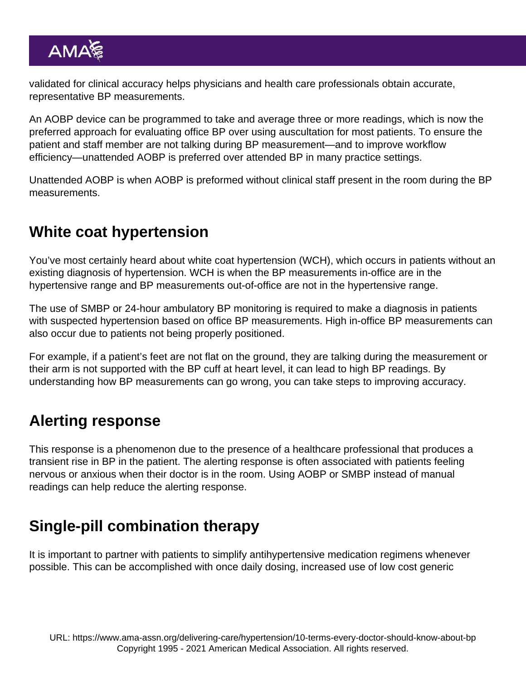validated for clinical accuracy helps physicians and health care professionals obtain accurate, representative BP measurements.

An AOBP device can be programmed to take and average three or more readings, which is now the preferred approach for evaluating office BP over using auscultation for most patients. To ensure the patient and staff member are not talking during BP measurement—and to improve workflow efficiency[—unattended AOBP](https://www.ama-assn.org/delivering-care/hypertension/automated-office-bp-readings-offer-chance-patient-education) is preferred over attended BP in many practice settings.

Unattended AOBP is when AOBP is preformed without clinical staff present in the room during the BP measurements.

### White coat hypertension

You've most certainly heard about white coat hypertension (WCH), which occurs in patients without an existing diagnosis of hypertension. WCH is when the BP measurements in-office are in the hypertensive range and BP measurements out-of-office are not in the hypertensive range.

The use of SMBP or 24-hour ambulatory BP monitoring is required to make a diagnosis in patients with suspected hypertension based on office BP measurements. High in-office BP measurements can also occur due to patients not being properly positioned.

For example, if a patient's feet are not flat on the ground, they are talking during the measurement or their arm is not supported with the BP cuff at heart level, it can lead to high BP readings. By understanding how [BP measurements can go wrong,](https://www.ama-assn.org/delivering-care/hypertension/4-big-ways-bp-measurement-goes-wrong-and-how-tackle-them) you can take steps to improving accuracy.

### Alerting response

This response is a phenomenon due to the presence of a healthcare professional that produces a transient rise in BP in the patient. The alerting response is often associated with patients feeling nervous or anxious when their doctor is in the room. Using AOBP or SMBP instead of manual readings can help reduce the alerting response.

# Single-pill combination therapy

It is important to [partner with patients](https://targetbp.org/blood-pressure-improvement-program/control-bp/partner-with-patients/) to simplify antihypertensive medication regimens whenever possible. This can be accomplished with once daily dosing, increased use of low cost generic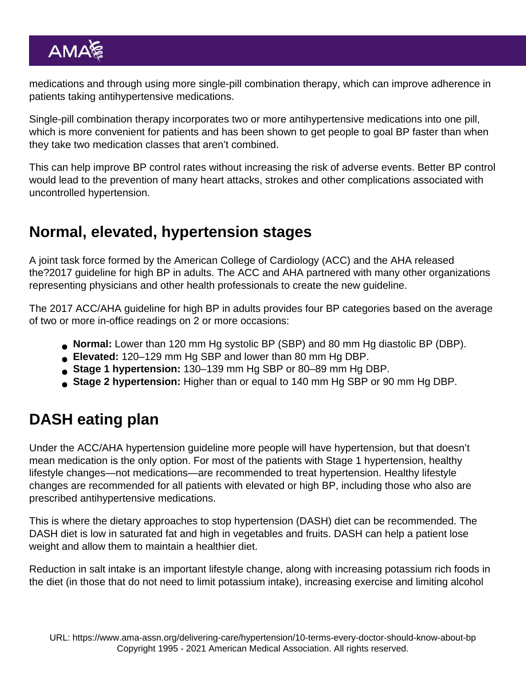medications and through using more single-pill combination therapy, which can improve adherence in patients taking antihypertensive medications.

Single-pill combination therapy incorporates two or more antihypertensive medications into one pill, which is more convenient for patients and has been shown to get people to goal BP faster than when they take two medication classes that aren't combined.

This can help improve BP control rates without increasing the risk of adverse events. Better BP control would lead to the prevention of many heart attacks, strokes and other complications associated with uncontrolled hypertension.

## Normal, elevated, hypertension stages

A joint task force formed by the American College of Cardiology (ACC) and the AHA released the?2017 guideline for high BP in adults. The ACC and AHA partnered with many other organizations representing physicians and other health professionals to create the new guideline.

The 2017 ACC/AHA guideline for high BP in adults provides [four BP categories](https://www.ama-assn.org/delivering-care/hypertension/hypertension-treatment-algorithm-made-simple) based on the average of two or more in-office readings on 2 or more occasions:

- Normal: Lower than 120 mm Hg systolic BP (SBP) and 80 mm Hg diastolic BP (DBP).
- Elevated: 120–129 mm Hg SBP and lower than 80 mm Hg DBP.
- Stage 1 hypertension: 130–139 mm Hg SBP or 80–89 mm Hg DBP.
- Stage 2 hypertension: Higher than or equal to 140 mm Hg SBP or 90 mm Hg DBP.

# DASH eating plan

Under the ACC/AHA hypertension guideline more people will have hypertension, but that doesn't mean medication is the only option. For most of the patients with Stage 1 hypertension, healthy [lifestyle changes—](https://www.ama-assn.org/delivering-care/hypertension/most-diet-and-exercise-not-meds-key-path-lower-bp)not medications—are recommended to treat hypertension. Healthy lifestyle changes are recommended for all patients with elevated or high BP, including those who also are prescribed antihypertensive medications.

This is where the dietary approaches to stop hypertension (DASH) diet can be recommended. The DASH diet is low in saturated fat and high in vegetables and fruits. DASH can help a patient lose weight and allow them to maintain a healthier diet.

[Reduction](https://www.ama-assn.org/delivering-care/hypertension/do-your-patients-believe-these-7-myths-about-salt) in salt intake is an important lifestyle change, along with increasing potassium rich foods in the diet (in those that do not need to limit potassium intake), increasing exercise and limiting alcohol